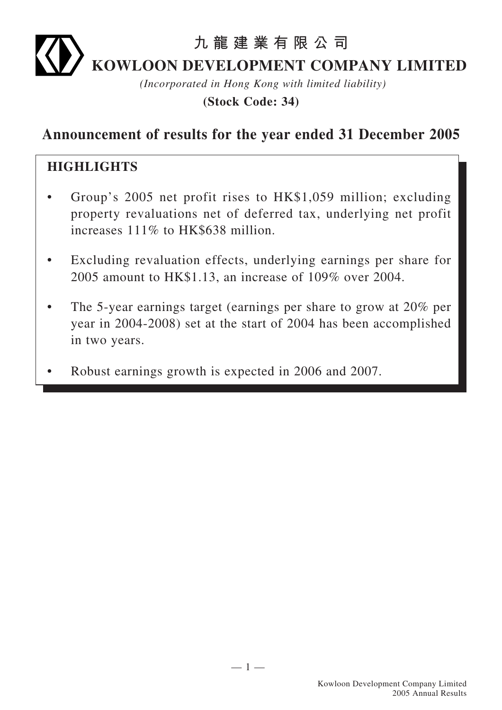# **九龍建業有限公司 KOWLOON DEVELOPMENT COMPANY LIMITED**

*(Incorporated in Hong Kong with limited liability)*

**(Stock Code: 34)**

### **Announcement of results for the year ended 31 December 2005**

#### **HIGHLIGHTS**

- Group's 2005 net profit rises to HK\$1,059 million; excluding property revaluations net of deferred tax, underlying net profit increases 111% to HK\$638 million.
- Excluding revaluation effects, underlying earnings per share for 2005 amount to HK\$1.13, an increase of 109% over 2004.
- The 5-year earnings target (earnings per share to grow at 20% per year in 2004-2008) set at the start of 2004 has been accomplished in two years.
- Robust earnings growth is expected in 2006 and 2007.

 $-1-$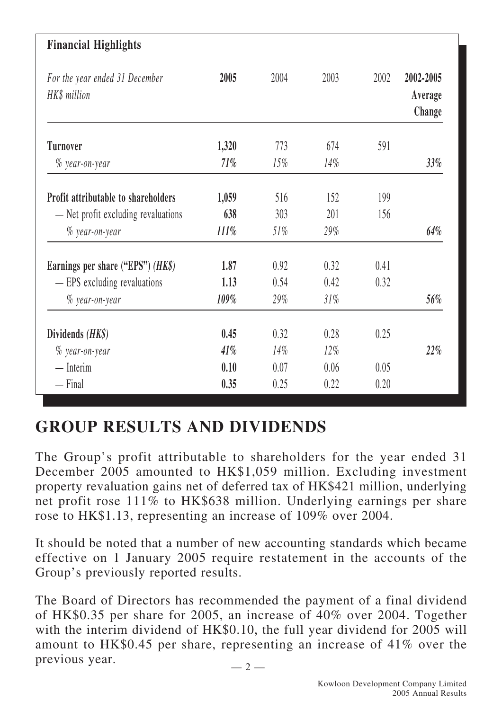| <b>Financial Highlights</b>                    |         |        |        |      |                                |
|------------------------------------------------|---------|--------|--------|------|--------------------------------|
| For the year ended 31 December<br>HK\$ million | 2005    | 2004   | 2003   | 2002 | 2002-2005<br>Average<br>Change |
| <b>Turnover</b>                                | 1,320   | 773    | 674    | 591  |                                |
| $\%$ year-on-year                              | 71%     | $15\%$ | $14\%$ |      | $33\%$                         |
| <b>Profit attributable to shareholders</b>     | 1,059   | 516    | 152    | 199  |                                |
| - Net profit excluding revaluations            | 638     | 303    | 201    | 156  |                                |
| $%$ year-on-year                               | $111\%$ | $51\%$ | 29%    |      | $64\%$                         |
| Earnings per share ("EPS") $(HK\$ )            | 1.87    | 0.92   | 0.32   | 0.41 |                                |
| - EPS excluding revaluations                   | 1.13    | 0.54   | 0.42   | 0.32 |                                |
| $%$ year-on-year                               | 109%    | 29%    | 31%    |      | 56%                            |
| Dividends (HK\$)                               | 0.45    | 0.32   | 0.28   | 0.25 |                                |
| $%$ year-on-year                               | 41%     | 14%    | $12\%$ |      | 22%                            |
| $-$ Interim                                    | 0.10    | 0.07   | 0.06   | 0.05 |                                |
| $-$ Final                                      | 0.35    | 0.25   | 0.22   | 0.20 |                                |

## **GROUP RESULTS AND DIVIDENDS**

The Group's profit attributable to shareholders for the year ended 31 December 2005 amounted to HK\$1,059 million. Excluding investment property revaluation gains net of deferred tax of HK\$421 million, underlying net profit rose 111% to HK\$638 million. Underlying earnings per share rose to HK\$1.13, representing an increase of 109% over 2004.

It should be noted that a number of new accounting standards which became effective on 1 January 2005 require restatement in the accounts of the Group's previously reported results.

The Board of Directors has recommended the payment of a final dividend of HK\$0.35 per share for 2005, an increase of 40% over 2004. Together with the interim dividend of HK\$0.10, the full year dividend for 2005 will amount to HK\$0.45 per share, representing an increase of 41% over the previous year.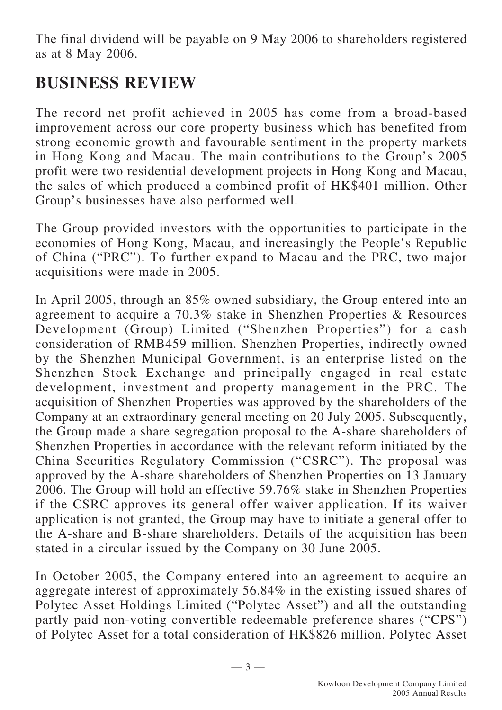The final dividend will be payable on 9 May 2006 to shareholders registered as at 8 May 2006.

## **BUSINESS REVIEW**

The record net profit achieved in 2005 has come from a broad-based improvement across our core property business which has benefited from strong economic growth and favourable sentiment in the property markets in Hong Kong and Macau. The main contributions to the Group's 2005 profit were two residential development projects in Hong Kong and Macau, the sales of which produced a combined profit of HK\$401 million. Other Group's businesses have also performed well.

The Group provided investors with the opportunities to participate in the economies of Hong Kong, Macau, and increasingly the People's Republic of China ("PRC"). To further expand to Macau and the PRC, two major acquisitions were made in 2005.

In April 2005, through an 85% owned subsidiary, the Group entered into an agreement to acquire a 70.3% stake in Shenzhen Properties & Resources Development (Group) Limited ("Shenzhen Properties") for a cash consideration of RMB459 million. Shenzhen Properties, indirectly owned by the Shenzhen Municipal Government, is an enterprise listed on the Shenzhen Stock Exchange and principally engaged in real estate development, investment and property management in the PRC. The acquisition of Shenzhen Properties was approved by the shareholders of the Company at an extraordinary general meeting on 20 July 2005. Subsequently, the Group made a share segregation proposal to the A-share shareholders of Shenzhen Properties in accordance with the relevant reform initiated by the China Securities Regulatory Commission ("CSRC"). The proposal was approved by the A-share shareholders of Shenzhen Properties on 13 January 2006. The Group will hold an effective 59.76% stake in Shenzhen Properties if the CSRC approves its general offer waiver application. If its waiver application is not granted, the Group may have to initiate a general offer to the A-share and B-share shareholders. Details of the acquisition has been stated in a circular issued by the Company on 30 June 2005.

In October 2005, the Company entered into an agreement to acquire an aggregate interest of approximately 56.84% in the existing issued shares of Polytec Asset Holdings Limited ("Polytec Asset") and all the outstanding partly paid non-voting convertible redeemable preference shares ("CPS") of Polytec Asset for a total consideration of HK\$826 million. Polytec Asset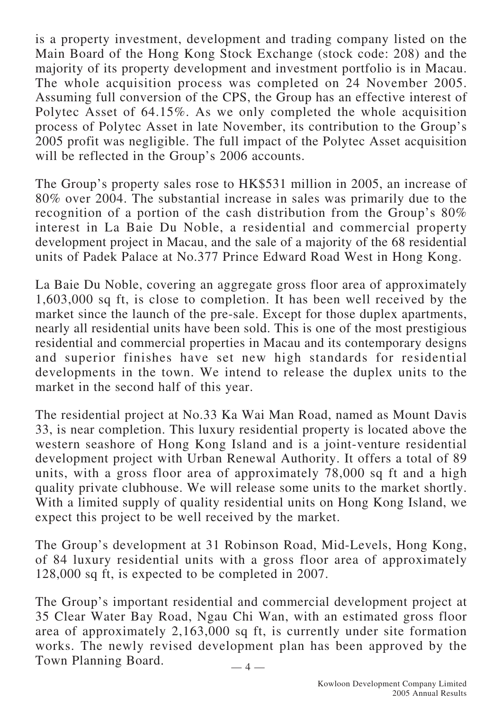is a property investment, development and trading company listed on the Main Board of the Hong Kong Stock Exchange (stock code: 208) and the majority of its property development and investment portfolio is in Macau. The whole acquisition process was completed on 24 November 2005. Assuming full conversion of the CPS, the Group has an effective interest of Polytec Asset of 64.15%. As we only completed the whole acquisition process of Polytec Asset in late November, its contribution to the Group's 2005 profit was negligible. The full impact of the Polytec Asset acquisition will be reflected in the Group's 2006 accounts.

The Group's property sales rose to HK\$531 million in 2005, an increase of 80% over 2004. The substantial increase in sales was primarily due to the recognition of a portion of the cash distribution from the Group's 80% interest in La Baie Du Noble, a residential and commercial property development project in Macau, and the sale of a majority of the 68 residential units of Padek Palace at No.377 Prince Edward Road West in Hong Kong.

La Baie Du Noble, covering an aggregate gross floor area of approximately 1,603,000 sq ft, is close to completion. It has been well received by the market since the launch of the pre-sale. Except for those duplex apartments, nearly all residential units have been sold. This is one of the most prestigious residential and commercial properties in Macau and its contemporary designs and superior finishes have set new high standards for residential developments in the town. We intend to release the duplex units to the market in the second half of this year.

The residential project at No.33 Ka Wai Man Road, named as Mount Davis 33, is near completion. This luxury residential property is located above the western seashore of Hong Kong Island and is a joint-venture residential development project with Urban Renewal Authority. It offers a total of 89 units, with a gross floor area of approximately 78,000 sq ft and a high quality private clubhouse. We will release some units to the market shortly. With a limited supply of quality residential units on Hong Kong Island, we expect this project to be well received by the market.

The Group's development at 31 Robinson Road, Mid-Levels, Hong Kong, of 84 luxury residential units with a gross floor area of approximately 128,000 sq ft, is expected to be completed in 2007.

 $-4-$ The Group's important residential and commercial development project at 35 Clear Water Bay Road, Ngau Chi Wan, with an estimated gross floor area of approximately 2,163,000 sq ft, is currently under site formation works. The newly revised development plan has been approved by the Town Planning Board.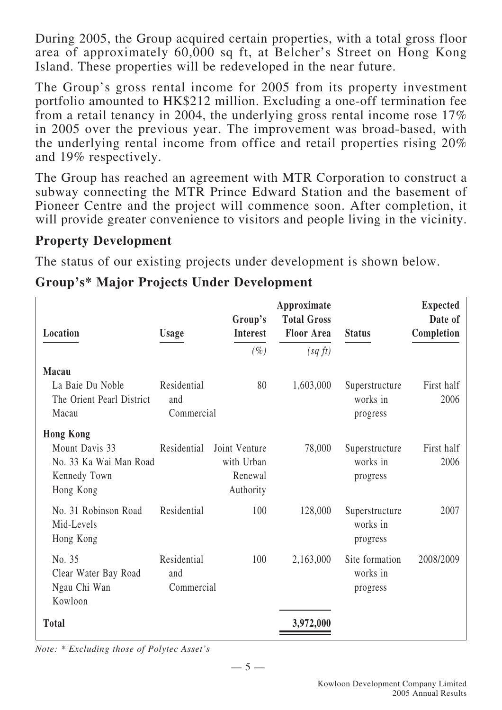During 2005, the Group acquired certain properties, with a total gross floor area of approximately 60,000 sq ft, at Belcher's Street on Hong Kong Island. These properties will be redeveloped in the near future.

The Group's gross rental income for 2005 from its property investment portfolio amounted to HK\$212 million. Excluding a one-off termination fee from a retail tenancy in 2004, the underlying gross rental income rose 17% in 2005 over the previous year. The improvement was broad-based, with the underlying rental income from office and retail properties rising 20% and 19% respectively.

The Group has reached an agreement with MTR Corporation to construct a subway connecting the MTR Prince Edward Station and the basement of Pioneer Centre and the project will commence soon. After completion, it will provide greater convenience to visitors and people living in the vicinity.

#### **Property Development**

The status of our existing projects under development is shown below.

|                                                                       |                                  | Group's                                             | Approximate<br><b>Total Gross</b> |                                        | <b>Expected</b><br>Date of |
|-----------------------------------------------------------------------|----------------------------------|-----------------------------------------------------|-----------------------------------|----------------------------------------|----------------------------|
| Location                                                              | <b>Usage</b>                     | <b>Interest</b>                                     | <b>Floor Area</b>                 | <b>Status</b>                          | Completion                 |
|                                                                       |                                  | $(\%)$                                              | (sqft)                            |                                        |                            |
| Macau                                                                 |                                  |                                                     |                                   |                                        |                            |
| La Baie Du Noble<br>The Orient Pearl District<br>Macau                | Residential<br>and<br>Commercial | 80                                                  | 1,603,000                         | Superstructure<br>works in<br>progress | First half<br>2006         |
| <b>Hong Kong</b>                                                      |                                  |                                                     |                                   |                                        |                            |
| Mount Davis 33<br>No. 33 Ka Wai Man Road<br>Kennedy Town<br>Hong Kong | Residential                      | Joint Venture<br>with Urban<br>Renewal<br>Authority | 78,000                            | Superstructure<br>works in<br>progress | First half<br>2006         |
| No. 31 Robinson Road<br>Mid-Levels<br>Hong Kong                       | Residential                      | 100                                                 | 128,000                           | Superstructure<br>works in<br>progress | 2007                       |
| No. 35<br>Clear Water Bay Road<br>Ngau Chi Wan<br>Kowloon             | Residential<br>and<br>Commercial | 100                                                 | 2,163,000                         | Site formation<br>works in<br>progress | 2008/2009                  |
| <b>Total</b>                                                          |                                  |                                                     | 3,972,000                         |                                        |                            |

### **Group's\* Major Projects Under Development**

*Note: \* Excluding those of Polytec Asset's*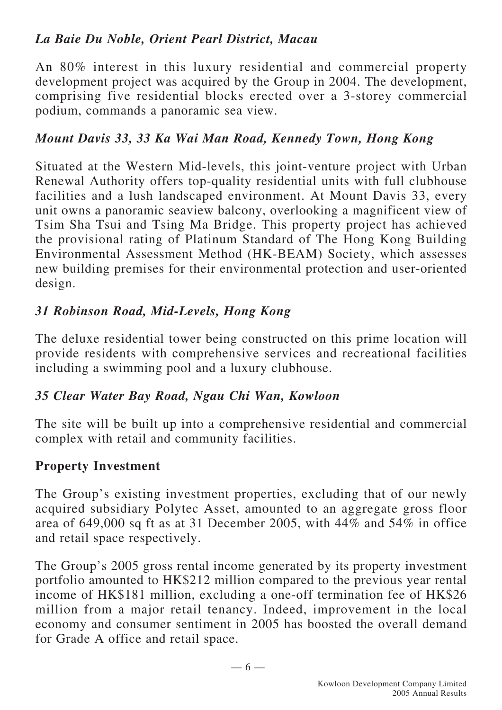### *La Baie Du Noble, Orient Pearl District, Macau*

An 80% interest in this luxury residential and commercial property development project was acquired by the Group in 2004. The development, comprising five residential blocks erected over a 3-storey commercial podium, commands a panoramic sea view.

### *Mount Davis 33, 33 Ka Wai Man Road, Kennedy Town, Hong Kong*

Situated at the Western Mid-levels, this joint-venture project with Urban Renewal Authority offers top-quality residential units with full clubhouse facilities and a lush landscaped environment. At Mount Davis 33, every unit owns a panoramic seaview balcony, overlooking a magnificent view of Tsim Sha Tsui and Tsing Ma Bridge. This property project has achieved the provisional rating of Platinum Standard of The Hong Kong Building Environmental Assessment Method (HK-BEAM) Society, which assesses new building premises for their environmental protection and user-oriented design.

### *31 Robinson Road, Mid-Levels, Hong Kong*

The deluxe residential tower being constructed on this prime location will provide residents with comprehensive services and recreational facilities including a swimming pool and a luxury clubhouse.

#### *35 Clear Water Bay Road, Ngau Chi Wan, Kowloon*

The site will be built up into a comprehensive residential and commercial complex with retail and community facilities.

#### **Property Investment**

The Group's existing investment properties, excluding that of our newly acquired subsidiary Polytec Asset, amounted to an aggregate gross floor area of 649,000 sq ft as at 31 December 2005, with 44% and 54% in office and retail space respectively.

The Group's 2005 gross rental income generated by its property investment portfolio amounted to HK\$212 million compared to the previous year rental income of HK\$181 million, excluding a one-off termination fee of HK\$26 million from a major retail tenancy. Indeed, improvement in the local economy and consumer sentiment in 2005 has boosted the overall demand for Grade A office and retail space.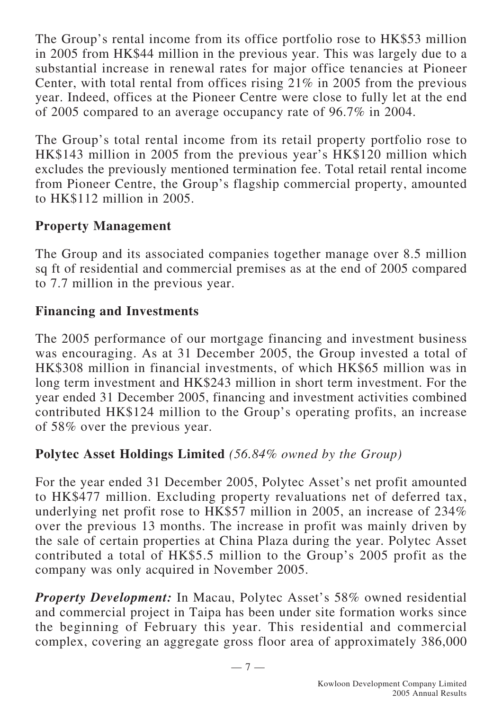The Group's rental income from its office portfolio rose to HK\$53 million in 2005 from HK\$44 million in the previous year. This was largely due to a substantial increase in renewal rates for major office tenancies at Pioneer Center, with total rental from offices rising 21% in 2005 from the previous year. Indeed, offices at the Pioneer Centre were close to fully let at the end of 2005 compared to an average occupancy rate of 96.7% in 2004.

The Group's total rental income from its retail property portfolio rose to HK\$143 million in 2005 from the previous year's HK\$120 million which excludes the previously mentioned termination fee. Total retail rental income from Pioneer Centre, the Group's flagship commercial property, amounted to HK\$112 million in 2005.

### **Property Management**

The Group and its associated companies together manage over 8.5 million sq ft of residential and commercial premises as at the end of 2005 compared to 7.7 million in the previous year.

### **Financing and Investments**

The 2005 performance of our mortgage financing and investment business was encouraging. As at 31 December 2005, the Group invested a total of HK\$308 million in financial investments, of which HK\$65 million was in long term investment and HK\$243 million in short term investment. For the year ended 31 December 2005, financing and investment activities combined contributed HK\$124 million to the Group's operating profits, an increase of 58% over the previous year.

### **Polytec Asset Holdings Limited** *(56.84% owned by the Group)*

For the year ended 31 December 2005, Polytec Asset's net profit amounted to HK\$477 million. Excluding property revaluations net of deferred tax, underlying net profit rose to HK\$57 million in 2005, an increase of 234% over the previous 13 months. The increase in profit was mainly driven by the sale of certain properties at China Plaza during the year. Polytec Asset contributed a total of HK\$5.5 million to the Group's 2005 profit as the company was only acquired in November 2005.

*Property Development:* In Macau, Polytec Asset's 58% owned residential and commercial project in Taipa has been under site formation works since the beginning of February this year. This residential and commercial complex, covering an aggregate gross floor area of approximately 386,000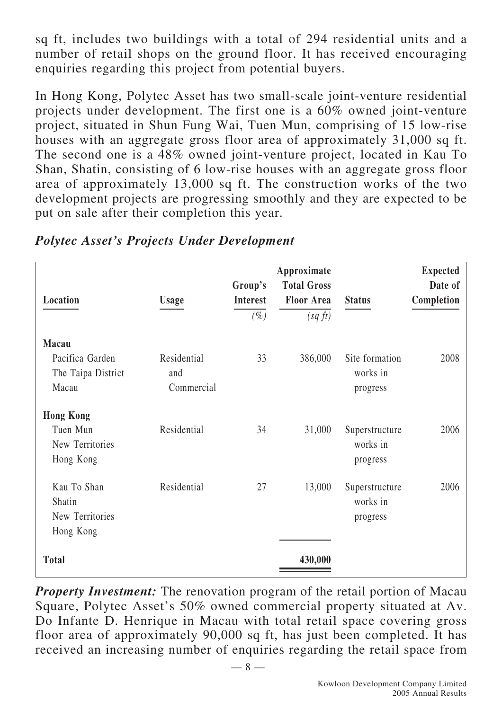sq ft, includes two buildings with a total of 294 residential units and a number of retail shops on the ground floor. It has received encouraging enquiries regarding this project from potential buyers.

In Hong Kong, Polytec Asset has two small-scale joint-venture residential projects under development. The first one is a 60% owned joint-venture project, situated in Shun Fung Wai, Tuen Mun, comprising of 15 low-rise houses with an aggregate gross floor area of approximately 31,000 sq ft. The second one is a 48% owned joint-venture project, located in Kau To Shan, Shatin, consisting of 6 low-rise houses with an aggregate gross floor area of approximately 13,000 sq ft. The construction works of the two development projects are progressing smoothly and they are expected to be put on sale after their completion this year.

| Location                                                     | <b>Usage</b>                     | Group's<br><b>Interest</b><br>$(\%)$ | Approximate<br><b>Total Gross</b><br><b>Floor Area</b><br>(sqft) | <b>Status</b>                          | <b>Expected</b><br>Date of<br>Completion |
|--------------------------------------------------------------|----------------------------------|--------------------------------------|------------------------------------------------------------------|----------------------------------------|------------------------------------------|
| Macau<br>Pacifica Garden<br>The Taipa District<br>Macau      | Residential<br>and<br>Commercial | 33                                   | 386,000                                                          | Site formation<br>works in<br>progress | 2008                                     |
| <b>Hong Kong</b><br>Tuen Mun<br>New Territories<br>Hong Kong | Residential                      | 34                                   | 31,000                                                           | Superstructure<br>works in<br>progress | 2006                                     |
| Kau To Shan<br>Shatin<br>New Territories<br>Hong Kong        | Residential                      | 27                                   | 13,000                                                           | Superstructure<br>works in<br>progress | 2006                                     |
| <b>Total</b>                                                 |                                  |                                      | 430,000                                                          |                                        |                                          |

*Polytec Asset's Projects Under Development*

*Property Investment:* The renovation program of the retail portion of Macau Square, Polytec Asset's 50% owned commercial property situated at Av. Do Infante D. Henrique in Macau with total retail space covering gross floor area of approximately 90,000 sq ft, has just been completed. It has received an increasing number of enquiries regarding the retail space from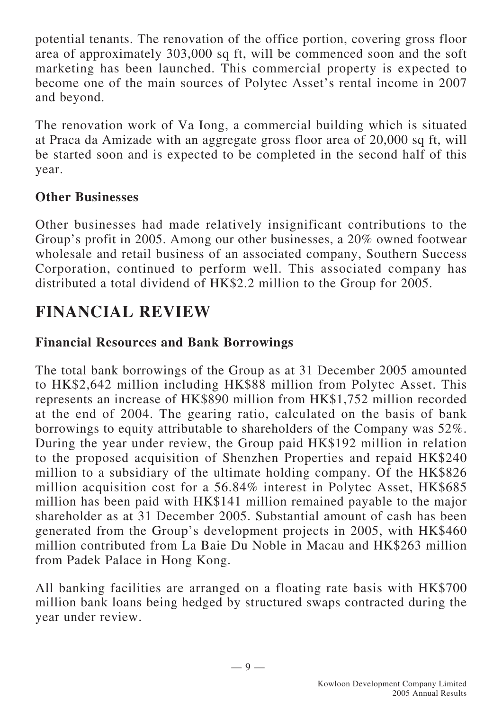potential tenants. The renovation of the office portion, covering gross floor area of approximately 303,000 sq ft, will be commenced soon and the soft marketing has been launched. This commercial property is expected to become one of the main sources of Polytec Asset's rental income in 2007 and beyond.

The renovation work of Va Iong, a commercial building which is situated at Praca da Amizade with an aggregate gross floor area of 20,000 sq ft, will be started soon and is expected to be completed in the second half of this year.

### **Other Businesses**

Other businesses had made relatively insignificant contributions to the Group's profit in 2005. Among our other businesses, a 20% owned footwear wholesale and retail business of an associated company, Southern Success Corporation, continued to perform well. This associated company has distributed a total dividend of HK\$2.2 million to the Group for 2005.

## **FINANCIAL REVIEW**

### **Financial Resources and Bank Borrowings**

The total bank borrowings of the Group as at 31 December 2005 amounted to HK\$2,642 million including HK\$88 million from Polytec Asset. This represents an increase of HK\$890 million from HK\$1,752 million recorded at the end of 2004. The gearing ratio, calculated on the basis of bank borrowings to equity attributable to shareholders of the Company was 52%. During the year under review, the Group paid HK\$192 million in relation to the proposed acquisition of Shenzhen Properties and repaid HK\$240 million to a subsidiary of the ultimate holding company. Of the HK\$826 million acquisition cost for a 56.84% interest in Polytec Asset, HK\$685 million has been paid with HK\$141 million remained payable to the major shareholder as at 31 December 2005. Substantial amount of cash has been generated from the Group's development projects in 2005, with HK\$460 million contributed from La Baie Du Noble in Macau and HK\$263 million from Padek Palace in Hong Kong.

All banking facilities are arranged on a floating rate basis with HK\$700 million bank loans being hedged by structured swaps contracted during the year under review.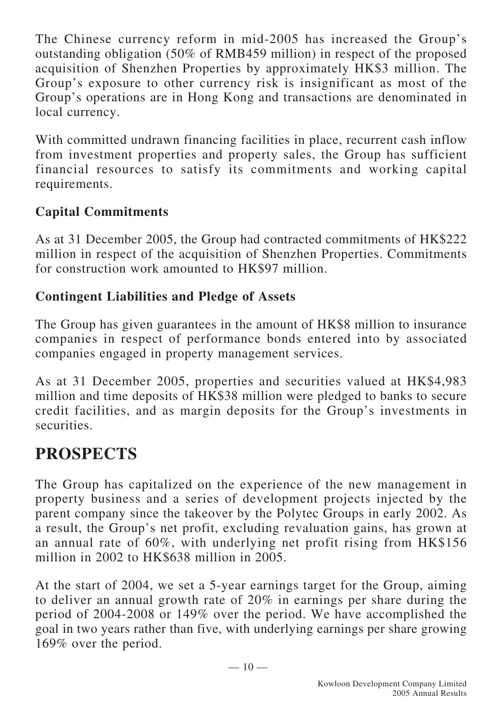The Chinese currency reform in mid-2005 has increased the Group's outstanding obligation (50% of RMB459 million) in respect of the proposed acquisition of Shenzhen Properties by approximately HK\$3 million. The Group's exposure to other currency risk is insignificant as most of the Group's operations are in Hong Kong and transactions are denominated in local currency.

With committed undrawn financing facilities in place, recurrent cash inflow from investment properties and property sales, the Group has sufficient financial resources to satisfy its commitments and working capital requirements.

### **Capital Commitments**

As at 31 December 2005, the Group had contracted commitments of HK\$222 million in respect of the acquisition of Shenzhen Properties. Commitments for construction work amounted to HK\$97 million.

### **Contingent Liabilities and Pledge of Assets**

The Group has given guarantees in the amount of HK\$8 million to insurance companies in respect of performance bonds entered into by associated companies engaged in property management services.

As at 31 December 2005, properties and securities valued at HK\$4,983 million and time deposits of HK\$38 million were pledged to banks to secure credit facilities, and as margin deposits for the Group's investments in securities.

## **PROSPECTS**

The Group has capitalized on the experience of the new management in property business and a series of development projects injected by the parent company since the takeover by the Polytec Groups in early 2002. As a result, the Group's net profit, excluding revaluation gains, has grown at an annual rate of 60%, with underlying net profit rising from HK\$156 million in 2002 to HK\$638 million in 2005.

At the start of 2004, we set a 5-year earnings target for the Group, aiming to deliver an annual growth rate of 20% in earnings per share during the period of 2004-2008 or 149% over the period. We have accomplished the goal in two years rather than five, with underlying earnings per share growing 169% over the period.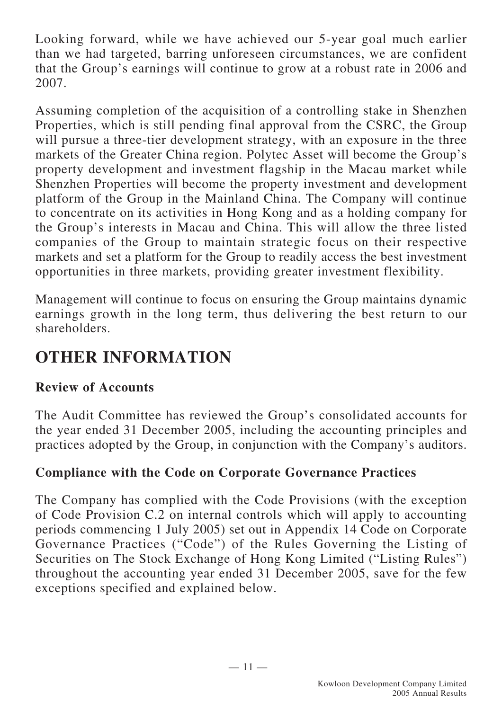Looking forward, while we have achieved our 5-year goal much earlier than we had targeted, barring unforeseen circumstances, we are confident that the Group's earnings will continue to grow at a robust rate in 2006 and 2007.

Assuming completion of the acquisition of a controlling stake in Shenzhen Properties, which is still pending final approval from the CSRC, the Group will pursue a three-tier development strategy, with an exposure in the three markets of the Greater China region. Polytec Asset will become the Group's property development and investment flagship in the Macau market while Shenzhen Properties will become the property investment and development platform of the Group in the Mainland China. The Company will continue to concentrate on its activities in Hong Kong and as a holding company for the Group's interests in Macau and China. This will allow the three listed companies of the Group to maintain strategic focus on their respective markets and set a platform for the Group to readily access the best investment opportunities in three markets, providing greater investment flexibility.

Management will continue to focus on ensuring the Group maintains dynamic earnings growth in the long term, thus delivering the best return to our shareholders.

## **OTHER INFORMATION**

### **Review of Accounts**

The Audit Committee has reviewed the Group's consolidated accounts for the year ended 31 December 2005, including the accounting principles and practices adopted by the Group, in conjunction with the Company's auditors.

### **Compliance with the Code on Corporate Governance Practices**

The Company has complied with the Code Provisions (with the exception of Code Provision C.2 on internal controls which will apply to accounting periods commencing 1 July 2005) set out in Appendix 14 Code on Corporate Governance Practices ("Code") of the Rules Governing the Listing of Securities on The Stock Exchange of Hong Kong Limited ("Listing Rules") throughout the accounting year ended 31 December 2005, save for the few exceptions specified and explained below.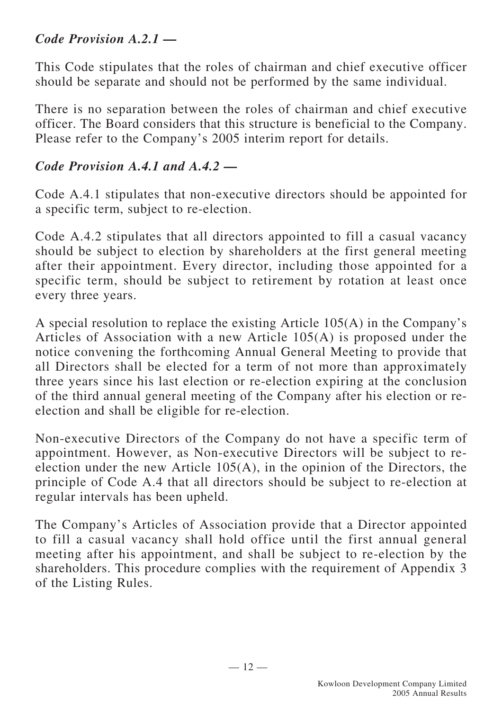### *Code Provision A.2.1 —*

This Code stipulates that the roles of chairman and chief executive officer should be separate and should not be performed by the same individual.

There is no separation between the roles of chairman and chief executive officer. The Board considers that this structure is beneficial to the Company. Please refer to the Company's 2005 interim report for details.

### *Code Provision A.4.1 and A.4.2 —*

Code A.4.1 stipulates that non-executive directors should be appointed for a specific term, subject to re-election.

Code A.4.2 stipulates that all directors appointed to fill a casual vacancy should be subject to election by shareholders at the first general meeting after their appointment. Every director, including those appointed for a specific term, should be subject to retirement by rotation at least once every three years.

A special resolution to replace the existing Article 105(A) in the Company's Articles of Association with a new Article 105(A) is proposed under the notice convening the forthcoming Annual General Meeting to provide that all Directors shall be elected for a term of not more than approximately three years since his last election or re-election expiring at the conclusion of the third annual general meeting of the Company after his election or reelection and shall be eligible for re-election.

Non-executive Directors of the Company do not have a specific term of appointment. However, as Non-executive Directors will be subject to reelection under the new Article 105(A), in the opinion of the Directors, the principle of Code A.4 that all directors should be subject to re-election at regular intervals has been upheld.

The Company's Articles of Association provide that a Director appointed to fill a casual vacancy shall hold office until the first annual general meeting after his appointment, and shall be subject to re-election by the shareholders. This procedure complies with the requirement of Appendix 3 of the Listing Rules.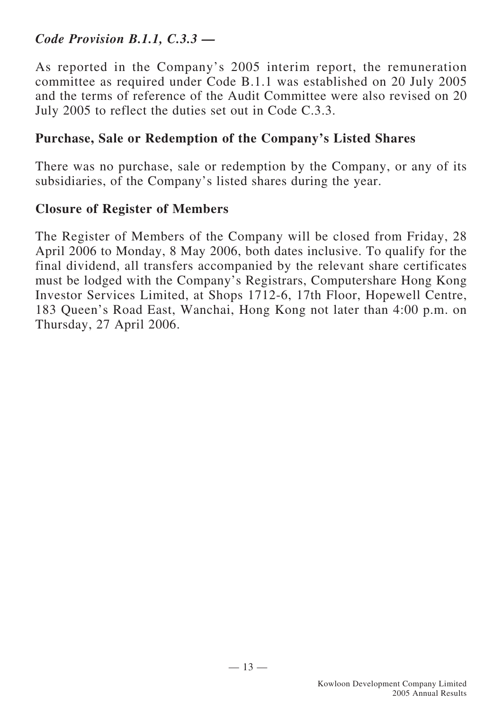### *Code Provision B.1.1, C.3.3 —*

As reported in the Company's 2005 interim report, the remuneration committee as required under Code B.1.1 was established on 20 July 2005 and the terms of reference of the Audit Committee were also revised on 20 July 2005 to reflect the duties set out in Code C.3.3.

#### **Purchase, Sale or Redemption of the Company's Listed Shares**

There was no purchase, sale or redemption by the Company, or any of its subsidiaries, of the Company's listed shares during the year.

#### **Closure of Register of Members**

The Register of Members of the Company will be closed from Friday, 28 April 2006 to Monday, 8 May 2006, both dates inclusive. To qualify for the final dividend, all transfers accompanied by the relevant share certificates must be lodged with the Company's Registrars, Computershare Hong Kong Investor Services Limited, at Shops 1712-6, 17th Floor, Hopewell Centre, 183 Queen's Road East, Wanchai, Hong Kong not later than 4:00 p.m. on Thursday, 27 April 2006.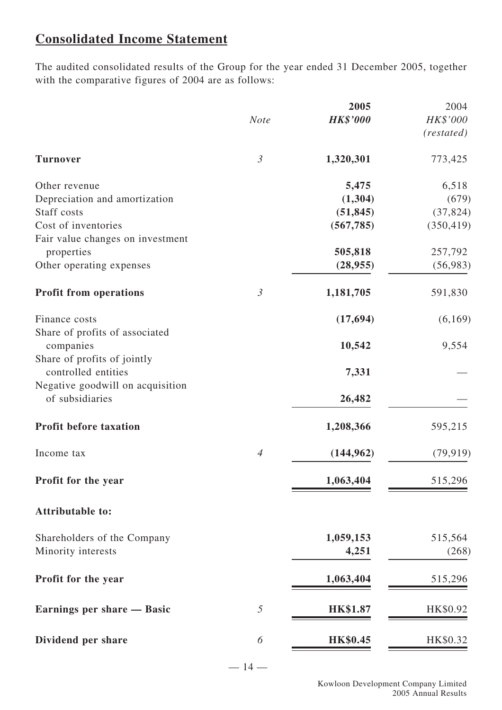### **Consolidated Income Statement**

The audited consolidated results of the Group for the year ended 31 December 2005, together with the comparative figures of 2004 are as follows:

|                                                     |                | 2005            | 2004       |
|-----------------------------------------------------|----------------|-----------------|------------|
|                                                     | <b>Note</b>    | <b>HK\$'000</b> | $HK\$ '000 |
|                                                     |                |                 | (restated) |
| <b>Turnover</b>                                     | $\mathfrak{Z}$ | 1,320,301       | 773,425    |
| Other revenue                                       |                | 5,475           | 6,518      |
| Depreciation and amortization                       |                | (1,304)         | (679)      |
| Staff costs                                         |                | (51, 845)       | (37, 824)  |
| Cost of inventories                                 |                | (567, 785)      | (350, 419) |
| Fair value changes on investment                    |                |                 |            |
| properties                                          |                | 505,818         | 257,792    |
| Other operating expenses                            |                | (28, 955)       | (56,983)   |
| <b>Profit from operations</b>                       | $\mathfrak{Z}$ | 1,181,705       | 591,830    |
| Finance costs                                       |                | (17, 694)       | (6,169)    |
| Share of profits of associated<br>companies         |                | 10,542          | 9,554      |
| Share of profits of jointly                         |                |                 |            |
| controlled entities                                 |                | 7,331           |            |
| Negative goodwill on acquisition<br>of subsidiaries |                | 26,482          |            |
| <b>Profit before taxation</b>                       |                | 1,208,366       | 595,215    |
| Income tax                                          | $\overline{4}$ | (144, 962)      | (79, 919)  |
|                                                     |                |                 |            |
| Profit for the year                                 |                | 1,063,404       | 515,296    |
| <b>Attributable to:</b>                             |                |                 |            |
| Shareholders of the Company                         |                | 1,059,153       | 515,564    |
| Minority interests                                  |                | 4,251           | (268)      |
| Profit for the year                                 |                | 1,063,404       | 515,296    |
| Earnings per share — Basic                          | 5              | <b>HK\$1.87</b> | HK\$0.92   |
| Dividend per share                                  | 6              | <b>HK\$0.45</b> | HK\$0.32   |
|                                                     |                |                 |            |

 $-14-$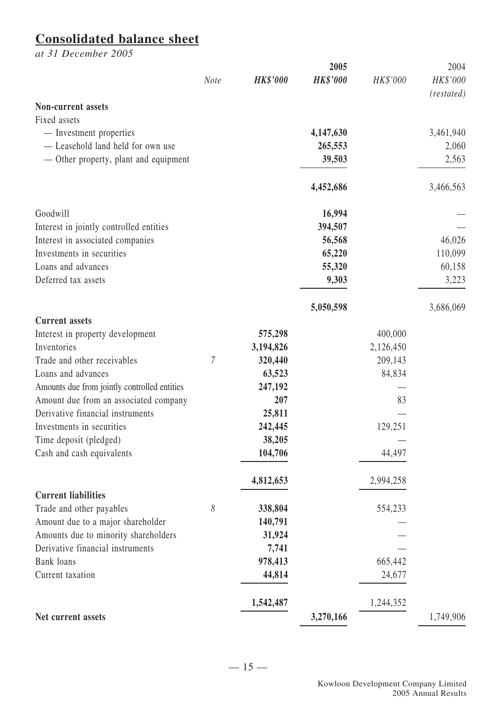#### **Consolidated balance sheet**

*at 31 December 2005*

|                                              |             |                 | 2005            |           | 2004       |
|----------------------------------------------|-------------|-----------------|-----------------|-----------|------------|
|                                              | <b>Note</b> | <b>HK\$'000</b> | <b>HK\$'000</b> | HK\$'000  | HK\$'000   |
| <b>Non-current assets</b>                    |             |                 |                 |           | (restated) |
| Fixed assets                                 |             |                 |                 |           |            |
| - Investment properties                      |             |                 | 4,147,630       |           | 3,461,940  |
| - Leasehold land held for own use            |             |                 | 265,553         |           | 2,060      |
| — Other property, plant and equipment        |             |                 | 39,503          |           | 2,563      |
|                                              |             |                 | 4,452,686       |           | 3,466,563  |
| Goodwill                                     |             |                 | 16,994          |           |            |
| Interest in jointly controlled entities      |             |                 | 394,507         |           |            |
| Interest in associated companies             |             |                 | 56,568          |           | 46,026     |
| Investments in securities                    |             |                 | 65,220          |           | 110,099    |
| Loans and advances                           |             |                 | 55,320          |           | 60,158     |
| Deferred tax assets                          |             |                 | 9,303           |           | 3,223      |
|                                              |             |                 | 5,050,598       |           | 3,686,069  |
| <b>Current assets</b>                        |             |                 |                 |           |            |
| Interest in property development             |             | 575,298         |                 | 400,000   |            |
| Inventories                                  |             | 3,194,826       |                 | 2,126,450 |            |
| Trade and other receivables                  | 7           | 320,440         |                 | 209,143   |            |
| Loans and advances                           |             | 63,523          |                 | 84,834    |            |
| Amounts due from jointly controlled entities |             | 247,192         |                 |           |            |
| Amount due from an associated company        |             | 207             |                 | 83        |            |
| Derivative financial instruments             |             | 25,811          |                 |           |            |
| Investments in securities                    |             | 242,445         |                 | 129,251   |            |
| Time deposit (pledged)                       |             | 38,205          |                 |           |            |
| Cash and cash equivalents                    |             | 104,706         |                 | 44,497    |            |
|                                              |             | 4,812,653       |                 | 2,994,258 |            |
| <b>Current liabilities</b>                   |             |                 |                 |           |            |
| Trade and other payables                     | 8           | 338,804         |                 | 554,233   |            |
| Amount due to a major shareholder            |             | 140,791         |                 |           |            |
| Amounts due to minority shareholders         |             | 31,924          |                 |           |            |
| Derivative financial instruments             |             | 7,741           |                 |           |            |
| <b>Bank</b> loans                            |             | 978,413         |                 | 665,442   |            |
| Current taxation                             |             | 44,814          |                 | 24,677    |            |
|                                              |             | 1,542,487       |                 | 1,244,352 |            |
| Net current assets                           |             |                 | 3,270,166       |           | 1,749,906  |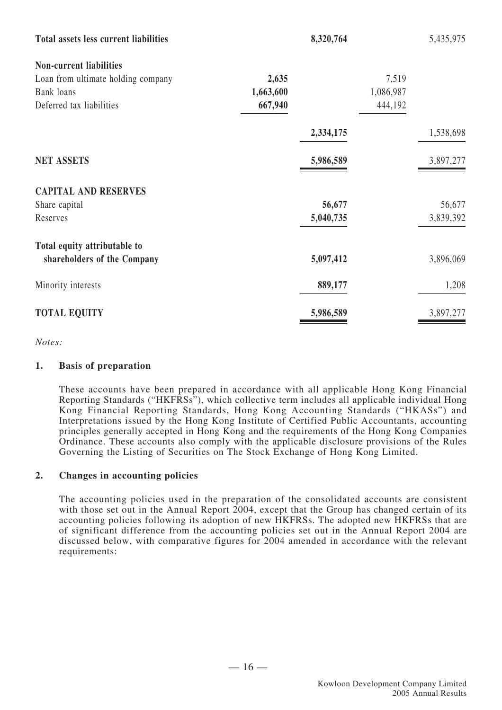| <b>Total assets less current liabilities</b> | 8,320,764 |           | 5,435,975 |
|----------------------------------------------|-----------|-----------|-----------|
| <b>Non-current liabilities</b>               |           |           |           |
| Loan from ultimate holding company           | 2,635     | 7,519     |           |
| Bank loans                                   | 1,663,600 | 1,086,987 |           |
| Deferred tax liabilities                     | 667,940   | 444,192   |           |
|                                              | 2,334,175 |           | 1,538,698 |
| <b>NET ASSETS</b>                            | 5,986,589 |           | 3,897,277 |
| <b>CAPITAL AND RESERVES</b>                  |           |           |           |
| Share capital                                | 56,677    |           | 56,677    |
| Reserves                                     | 5,040,735 |           | 3,839,392 |
| Total equity attributable to                 |           |           |           |
| shareholders of the Company                  | 5,097,412 |           | 3,896,069 |
| Minority interests                           | 889,177   |           | 1,208     |
| <b>TOTAL EQUITY</b>                          | 5,986,589 |           | 3,897,277 |

*Notes:*

#### **1. Basis of preparation**

These accounts have been prepared in accordance with all applicable Hong Kong Financial Reporting Standards ("HKFRSs"), which collective term includes all applicable individual Hong Kong Financial Reporting Standards, Hong Kong Accounting Standards ("HKASs") and Interpretations issued by the Hong Kong Institute of Certified Public Accountants, accounting principles generally accepted in Hong Kong and the requirements of the Hong Kong Companies Ordinance. These accounts also comply with the applicable disclosure provisions of the Rules Governing the Listing of Securities on The Stock Exchange of Hong Kong Limited.

#### **2. Changes in accounting policies**

The accounting policies used in the preparation of the consolidated accounts are consistent with those set out in the Annual Report 2004, except that the Group has changed certain of its accounting policies following its adoption of new HKFRSs. The adopted new HKFRSs that are of significant difference from the accounting policies set out in the Annual Report 2004 are discussed below, with comparative figures for 2004 amended in accordance with the relevant requirements: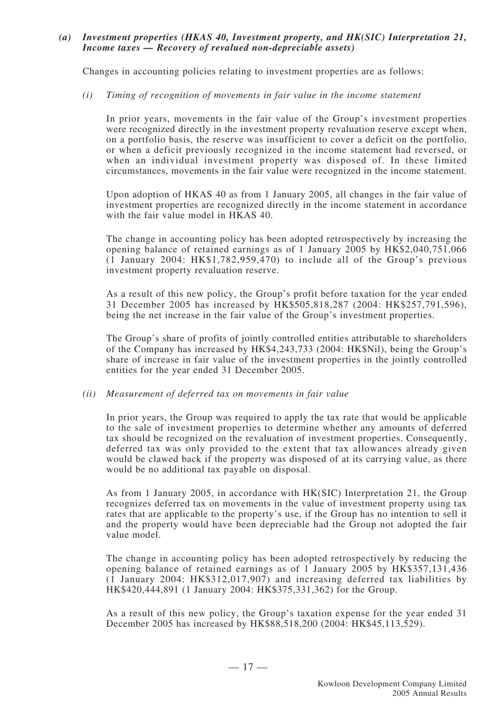#### *(a) Investment properties (HKAS 40, Investment property, and HK(SIC) Interpretation 21, Income taxes — Recovery of revalued non-depreciable assets)*

Changes in accounting policies relating to investment properties are as follows:

#### *(i) Timing of recognition of movements in fair value in the income statement*

In prior years, movements in the fair value of the Group's investment properties were recognized directly in the investment property revaluation reserve except when, on a portfolio basis, the reserve was insufficient to cover a deficit on the portfolio, or when a deficit previously recognized in the income statement had reversed, or when an individual investment property was disposed of. In these limited circumstances, movements in the fair value were recognized in the income statement.

Upon adoption of HKAS 40 as from 1 January 2005, all changes in the fair value of investment properties are recognized directly in the income statement in accordance with the fair value model in HKAS 40.

The change in accounting policy has been adopted retrospectively by increasing the opening balance of retained earnings as of 1 January 2005 by HK\$2,040,751,066  $(1)$  January 2004: HK\$1,782,959,470) to include all of the Group's previous investment property revaluation reserve.

As a result of this new policy, the Group's profit before taxation for the year ended 31 December 2005 has increased by HK\$505,818,287 (2004: HK\$257,791,596), being the net increase in the fair value of the Group's investment properties.

The Group's share of profits of jointly controlled entities attributable to shareholders of the Company has increased by HK\$4,243,733 (2004: HK\$Nil), being the Group's share of increase in fair value of the investment properties in the jointly controlled entities for the year ended 31 December 2005.

#### *(ii) Measurement of deferred tax on movements in fair value*

In prior years, the Group was required to apply the tax rate that would be applicable to the sale of investment properties to determine whether any amounts of deferred tax should be recognized on the revaluation of investment properties. Consequently, deferred tax was only provided to the extent that tax allowances already given would be clawed back if the property was disposed of at its carrying value, as there would be no additional tax payable on disposal.

As from 1 January 2005, in accordance with HK(SIC) Interpretation 21, the Group recognizes deferred tax on movements in the value of investment property using tax rates that are applicable to the property's use, if the Group has no intention to sell it and the property would have been depreciable had the Group not adopted the fair value model.

The change in accounting policy has been adopted retrospectively by reducing the opening balance of retained earnings as of 1 January 2005 by HK\$357,131,436 (1 January 2004: HK\$312,017,907) and increasing deferred tax liabilities by HK\$420,444,891 (1 January 2004: HK\$375,331,362) for the Group.

As a result of this new policy, the Group's taxation expense for the year ended 31 December 2005 has increased by HK\$88,518,200 (2004: HK\$45,113,529).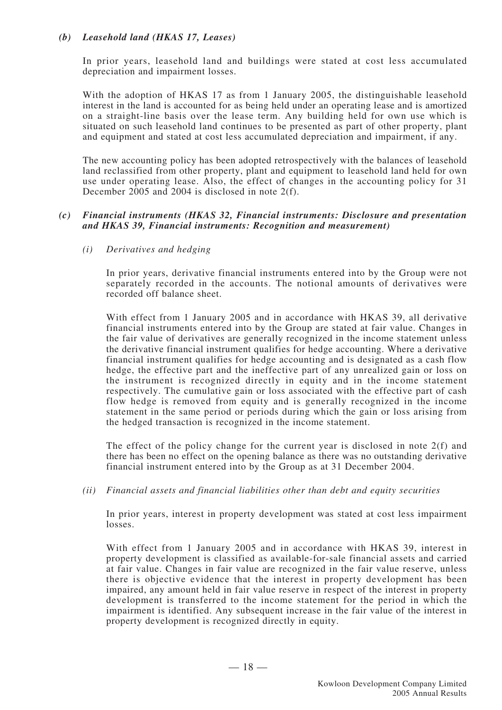#### *(b) Leasehold land (HKAS 17, Leases)*

In prior years, leasehold land and buildings were stated at cost less accumulated depreciation and impairment losses.

With the adoption of HKAS 17 as from 1 January 2005, the distinguishable leasehold interest in the land is accounted for as being held under an operating lease and is amortized on a straight-line basis over the lease term. Any building held for own use which is situated on such leasehold land continues to be presented as part of other property, plant and equipment and stated at cost less accumulated depreciation and impairment, if any.

The new accounting policy has been adopted retrospectively with the balances of leasehold land reclassified from other property, plant and equipment to leasehold land held for own use under operating lease. Also, the effect of changes in the accounting policy for 31 December 2005 and 2004 is disclosed in note 2(f).

#### *(c) Financial instruments (HKAS 32, Financial instruments: Disclosure and presentation and HKAS 39, Financial instruments: Recognition and measurement)*

*(i) Derivatives and hedging*

In prior years, derivative financial instruments entered into by the Group were not separately recorded in the accounts. The notional amounts of derivatives were recorded off balance sheet.

With effect from 1 January 2005 and in accordance with HKAS 39, all derivative financial instruments entered into by the Group are stated at fair value. Changes in the fair value of derivatives are generally recognized in the income statement unless the derivative financial instrument qualifies for hedge accounting. Where a derivative financial instrument qualifies for hedge accounting and is designated as a cash flow hedge, the effective part and the ineffective part of any unrealized gain or loss on the instrument is recognized directly in equity and in the income statement respectively. The cumulative gain or loss associated with the effective part of cash flow hedge is removed from equity and is generally recognized in the income statement in the same period or periods during which the gain or loss arising from the hedged transaction is recognized in the income statement.

The effect of the policy change for the current year is disclosed in note 2(f) and there has been no effect on the opening balance as there was no outstanding derivative financial instrument entered into by the Group as at 31 December 2004.

*(ii) Financial assets and financial liabilities other than debt and equity securities*

In prior years, interest in property development was stated at cost less impairment losses.

With effect from 1 January 2005 and in accordance with HKAS 39, interest in property development is classified as available-for-sale financial assets and carried at fair value. Changes in fair value are recognized in the fair value reserve, unless there is objective evidence that the interest in property development has been impaired, any amount held in fair value reserve in respect of the interest in property development is transferred to the income statement for the period in which the impairment is identified. Any subsequent increase in the fair value of the interest in property development is recognized directly in equity.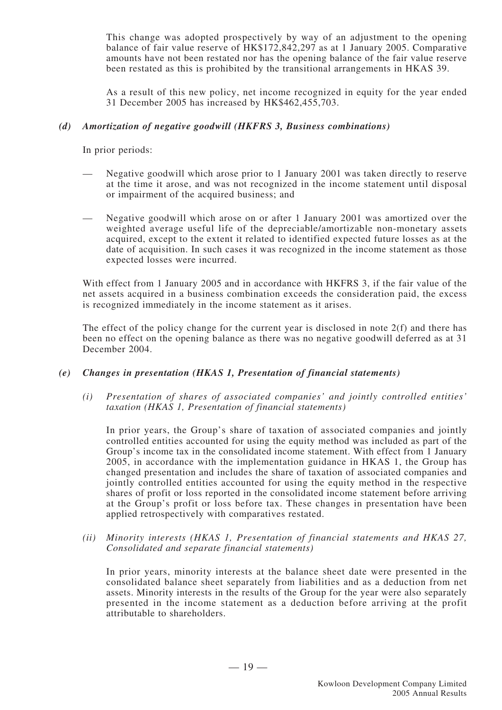This change was adopted prospectively by way of an adjustment to the opening balance of fair value reserve of HK\$172,842,297 as at 1 January 2005. Comparative amounts have not been restated nor has the opening balance of the fair value reserve been restated as this is prohibited by the transitional arrangements in HKAS 39.

As a result of this new policy, net income recognized in equity for the year ended 31 December 2005 has increased by HK\$462,455,703.

#### *(d) Amortization of negative goodwill (HKFRS 3, Business combinations)*

In prior periods:

- Negative goodwill which arose prior to 1 January 2001 was taken directly to reserve at the time it arose, and was not recognized in the income statement until disposal or impairment of the acquired business; and
- Negative goodwill which arose on or after 1 January 2001 was amortized over the weighted average useful life of the depreciable/amortizable non-monetary assets acquired, except to the extent it related to identified expected future losses as at the date of acquisition. In such cases it was recognized in the income statement as those expected losses were incurred.

With effect from 1 January 2005 and in accordance with HKFRS 3, if the fair value of the net assets acquired in a business combination exceeds the consideration paid, the excess is recognized immediately in the income statement as it arises.

The effect of the policy change for the current year is disclosed in note 2(f) and there has been no effect on the opening balance as there was no negative goodwill deferred as at 31 December 2004.

#### *(e) Changes in presentation (HKAS 1, Presentation of financial statements)*

*(i) Presentation of shares of associated companies' and jointly controlled entities' taxation (HKAS 1, Presentation of financial statements)*

In prior years, the Group's share of taxation of associated companies and jointly controlled entities accounted for using the equity method was included as part of the Group's income tax in the consolidated income statement. With effect from 1 January 2005, in accordance with the implementation guidance in HKAS 1, the Group has changed presentation and includes the share of taxation of associated companies and jointly controlled entities accounted for using the equity method in the respective shares of profit or loss reported in the consolidated income statement before arriving at the Group's profit or loss before tax. These changes in presentation have been applied retrospectively with comparatives restated.

*(ii) Minority interests (HKAS 1, Presentation of financial statements and HKAS 27, Consolidated and separate financial statements)*

In prior years, minority interests at the balance sheet date were presented in the consolidated balance sheet separately from liabilities and as a deduction from net assets. Minority interests in the results of the Group for the year were also separately presented in the income statement as a deduction before arriving at the profit attributable to shareholders.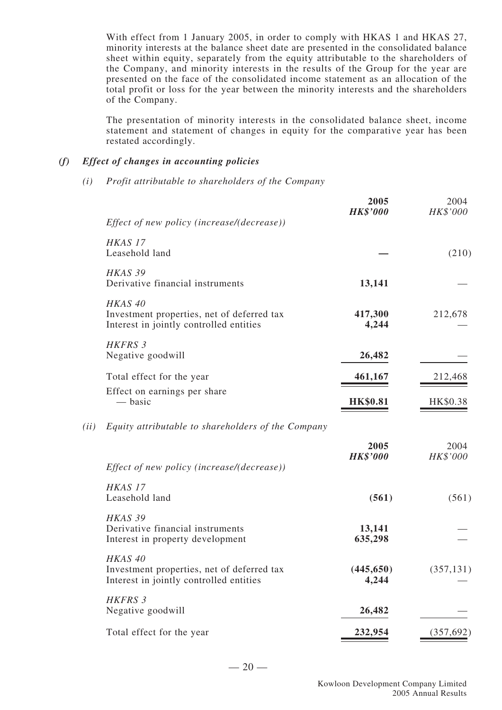With effect from 1 January 2005, in order to comply with HKAS 1 and HKAS 27, minority interests at the balance sheet date are presented in the consolidated balance sheet within equity, separately from the equity attributable to the shareholders of the Company, and minority interests in the results of the Group for the year are presented on the face of the consolidated income statement as an allocation of the total profit or loss for the year between the minority interests and the shareholders of the Company.

The presentation of minority interests in the consolidated balance sheet, income statement and statement of changes in equity for the comparative year has been restated accordingly.

#### *(f) Effect of changes in accounting policies*

*(i) Profit attributable to shareholders of the Company*

|      |                                                                                                             | 2005<br><b>HK\$'000</b> | 2004<br>HK\$'000 |
|------|-------------------------------------------------------------------------------------------------------------|-------------------------|------------------|
|      | Effect of new policy (increase/(decrease))                                                                  |                         |                  |
|      | HKAS <sub>17</sub><br>Leasehold land                                                                        |                         | (210)            |
|      | HKAS 39<br>Derivative financial instruments                                                                 | 13,141                  |                  |
|      | HKAS <sub>40</sub><br>Investment properties, net of deferred tax<br>Interest in jointly controlled entities | 417,300<br>4,244        | 212,678          |
|      | HKFRS 3<br>Negative goodwill                                                                                | 26,482                  |                  |
|      | Total effect for the year                                                                                   | 461,167                 | 212,468          |
|      | Effect on earnings per share<br>— basic                                                                     | <b>HK\$0.81</b>         | HK\$0.38         |
| (ii) | Equity attributable to shareholders of the Company                                                          |                         |                  |
|      | Effect of new policy (increase/(decrease))                                                                  | 2005<br><b>HK\$'000</b> | 2004<br>HK\$'000 |
|      | HKAS <sub>17</sub><br>Leasehold land                                                                        | (561)                   | (561)            |
|      | HKAS 39<br>Derivative financial instruments<br>Interest in property development                             | 13,141<br>635,298       |                  |
|      | HKAS <sub>40</sub><br>Investment properties, net of deferred tax<br>Interest in jointly controlled entities | (445, 650)<br>4,244     | (357, 131)       |
|      | HKFRS 3<br>Negative goodwill                                                                                | 26,482                  |                  |
|      | Total effect for the year                                                                                   | 232,954                 | (357, 692)       |
|      |                                                                                                             |                         |                  |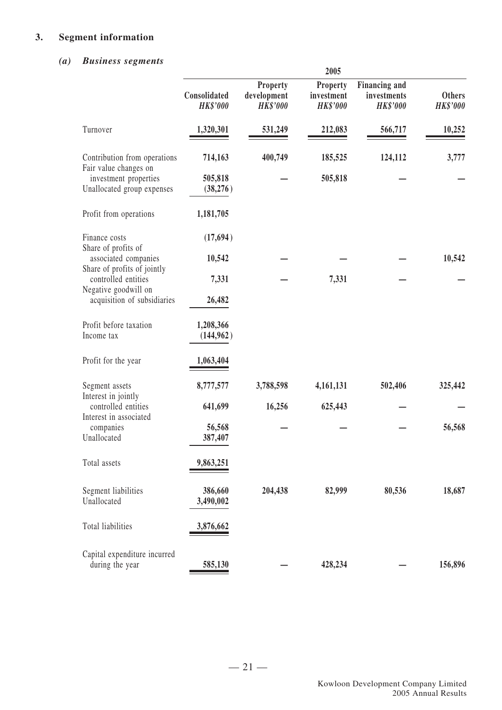#### **3. Segment information**

#### *(a) Business segments*

| $\n  u0\n  u0\n  v0\n  u0\n  u0\n  u0\n  u0\n  u0\n  u0\n  u0\n  u0\n  u0\n  u0\n  u0\n  u$ | 2005                            |                                                   |                                           |                                                        |                                  |  |
|---------------------------------------------------------------------------------------------|---------------------------------|---------------------------------------------------|-------------------------------------------|--------------------------------------------------------|----------------------------------|--|
|                                                                                             | Consolidated<br><b>HK\$'000</b> | <b>Property</b><br>development<br><b>HK\$'000</b> | Property<br>investment<br><b>HK\$'000</b> | <b>Financing and</b><br>investments<br><b>HK\$'000</b> | <b>Others</b><br><b>HK\$'000</b> |  |
| Turnover                                                                                    | 1,320,301                       | 531,249                                           | 212,083                                   | 566,717                                                | 10,252                           |  |
| Contribution from operations<br>Fair value changes on                                       | 714,163                         | 400,749                                           | 185,525                                   | 124,112                                                | 3,777                            |  |
| investment properties<br>Unallocated group expenses                                         | 505,818<br>(38,276)             |                                                   | 505,818                                   |                                                        |                                  |  |
| Profit from operations                                                                      | 1,181,705                       |                                                   |                                           |                                                        |                                  |  |
| Finance costs<br>Share of profits of                                                        | (17,694)                        |                                                   |                                           |                                                        |                                  |  |
| associated companies<br>Share of profits of jointly                                         | 10,542                          |                                                   |                                           |                                                        | 10,542                           |  |
| controlled entities<br>Negative goodwill on<br>acquisition of subsidiaries                  | 7,331<br>26,482                 |                                                   | 7,331                                     |                                                        |                                  |  |
| Profit before taxation<br>Income tax                                                        | 1,208,366<br>(144, 962)         |                                                   |                                           |                                                        |                                  |  |
| Profit for the year                                                                         | 1,063,404                       |                                                   |                                           |                                                        |                                  |  |
| Segment assets<br>Interest in jointly                                                       | 8,777,577                       | 3,788,598                                         | 4,161,131                                 | 502,406                                                | 325,442                          |  |
| controlled entities<br>Interest in associated                                               | 641,699                         | 16,256                                            | 625,443                                   |                                                        |                                  |  |
| companies<br>Unallocated                                                                    | 56,568<br>387,407               |                                                   |                                           |                                                        | 56,568                           |  |
| Total assets                                                                                | 9,863,251                       |                                                   |                                           |                                                        |                                  |  |
| Segment liabilities<br>Unallocated                                                          | 386,660<br>3,490,002            | 204,438                                           | 82,999                                    | 80,536                                                 | 18,687                           |  |
| Total liabilities                                                                           | 3,876,662                       |                                                   |                                           |                                                        |                                  |  |
| Capital expenditure incurred<br>during the year                                             | 585,130                         |                                                   | 428,234                                   |                                                        | 156,896                          |  |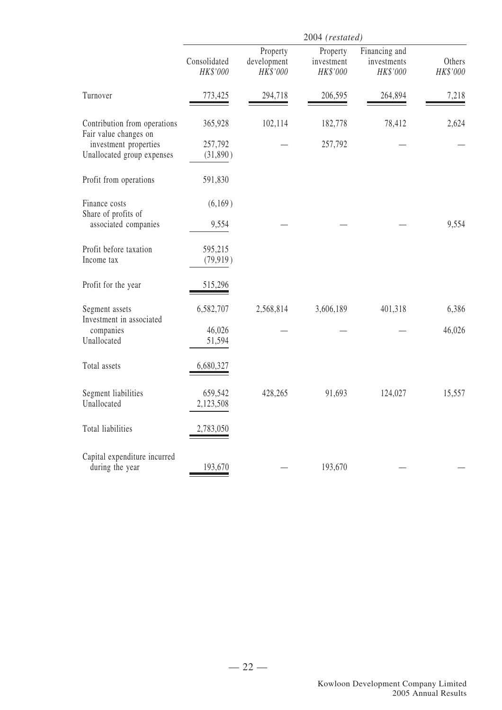|                                                       |                          |                                     | 2004 (restated)                    |                                          |                    |
|-------------------------------------------------------|--------------------------|-------------------------------------|------------------------------------|------------------------------------------|--------------------|
|                                                       | Consolidated<br>HK\$'000 | Property<br>development<br>HK\$'000 | Property<br>investment<br>HK\$'000 | Financing and<br>investments<br>HK\$'000 | Others<br>HK\$'000 |
| Turnover                                              | 773,425                  | 294,718                             | 206,595                            | 264,894                                  | 7,218              |
| Contribution from operations<br>Fair value changes on | 365,928                  | 102,114                             | 182,778                            | 78,412                                   | 2,624              |
| investment properties<br>Unallocated group expenses   | 257,792<br>(31,890)      |                                     | 257,792                            |                                          |                    |
| Profit from operations                                | 591,830                  |                                     |                                    |                                          |                    |
| Finance costs<br>Share of profits of                  | (6,169)                  |                                     |                                    |                                          |                    |
| associated companies                                  | 9,554                    |                                     |                                    |                                          | 9,554              |
| Profit before taxation<br>Income tax                  | 595,215<br>(79, 919)     |                                     |                                    |                                          |                    |
| Profit for the year                                   | 515,296                  |                                     |                                    |                                          |                    |
| Segment assets<br>Investment in associated            | 6,582,707                | 2,568,814                           | 3,606,189                          | 401,318                                  | 6,386              |
| companies<br>Unallocated                              | 46,026<br>51,594         |                                     |                                    |                                          | 46,026             |
| Total assets                                          | 6,680,327                |                                     |                                    |                                          |                    |
| Segment liabilities<br>Unallocated                    | 659,542<br>2,123,508     | 428,265                             | 91,693                             | 124,027                                  | 15,557             |
| Total liabilities                                     | 2,783,050                |                                     |                                    |                                          |                    |
| Capital expenditure incurred<br>during the year       | 193,670                  |                                     | 193,670                            |                                          |                    |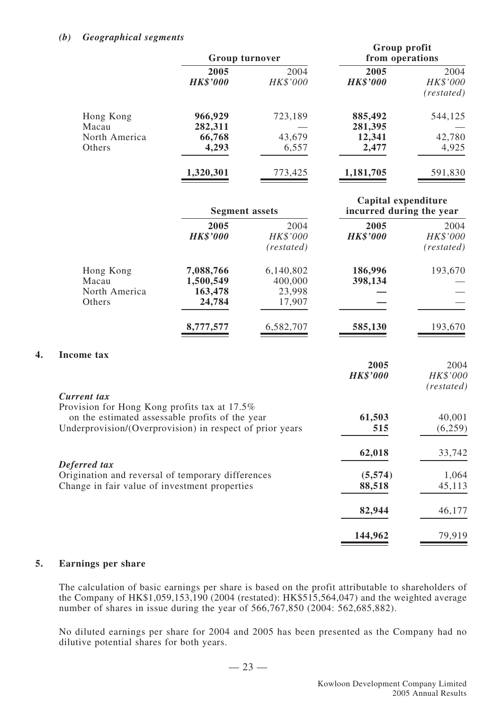#### *(b) Geographical segments*

|                         | <b>Group turnover</b>   |                  |                         | Group profit<br>from operations |  |
|-------------------------|-------------------------|------------------|-------------------------|---------------------------------|--|
|                         | 2005<br><b>HK\$'000</b> | 2004<br>HK\$'000 | 2005<br><b>HK\$'000</b> | 2004<br>HK\$'000<br>(restated)  |  |
| Hong Kong<br>Macau      | 966,929<br>282,311      | 723,189          | 885,492<br>281,395      | 544,125                         |  |
| North America<br>Others | 66,768<br>4,293         | 43,679<br>6,557  | 12,341<br>2,477         | 42,780<br>4,925                 |  |
|                         | 1,320,301               | 773,425          | 1,181,705               | 591,830                         |  |

|    |                                                                                                                                                             | <b>Segment assets</b>                       |                                          | Capital expenditure<br>incurred during the year |                                |
|----|-------------------------------------------------------------------------------------------------------------------------------------------------------------|---------------------------------------------|------------------------------------------|-------------------------------------------------|--------------------------------|
|    |                                                                                                                                                             | 2005<br><b>HK\$'000</b>                     | 2004<br>HK\$'000<br>(restated)           | 2005<br><b>HK\$'000</b>                         | 2004<br>HK\$'000<br>(rested)   |
|    | Hong Kong<br>Macau<br>North America<br>Others                                                                                                               | 7,088,766<br>1,500,549<br>163,478<br>24,784 | 6,140,802<br>400,000<br>23,998<br>17,907 | 186,996<br>398,134                              | 193,670                        |
|    |                                                                                                                                                             | 8,777,577                                   | 6,582,707                                | 585,130                                         | 193,670                        |
| 4. | <b>Income tax</b><br><b>Current tax</b>                                                                                                                     |                                             |                                          | 2005<br><b>HK\$'000</b>                         | 2004<br>HK\$'000<br>(restated) |
|    | Provision for Hong Kong profits tax at 17.5%<br>on the estimated assessable profits of the year<br>Underprovision/(Overprovision) in respect of prior years |                                             |                                          | 61,503<br>515                                   | 40,001<br>(6,259)              |
|    | Deferred tax                                                                                                                                                |                                             |                                          | 62,018                                          | 33,742                         |
|    | Origination and reversal of temporary differences<br>Change in fair value of investment properties                                                          |                                             |                                          | (5,574)<br>88,518                               | 1,064<br>45,113                |
|    |                                                                                                                                                             |                                             |                                          | 82,944                                          | 46,177                         |
|    |                                                                                                                                                             |                                             |                                          | 144,962                                         | 79,919                         |

#### **5. Earnings per share**

The calculation of basic earnings per share is based on the profit attributable to shareholders of the Company of HK\$1,059,153,190 (2004 (restated): HK\$515,564,047) and the weighted average number of shares in issue during the year of 566,767,850 (2004: 562,685,882).

No diluted earnings per share for 2004 and 2005 has been presented as the Company had no dilutive potential shares for both years.